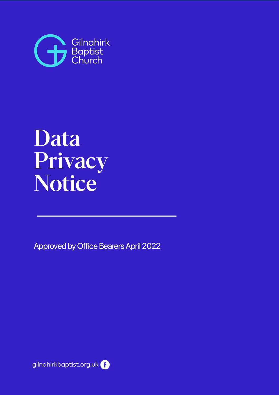

# Data Privacy Notice

Approved by Office Bearers April 2022

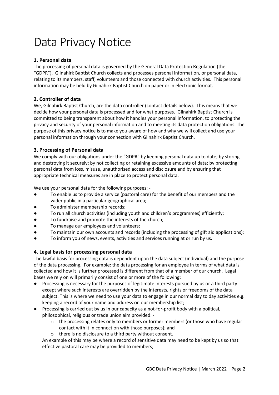# Data Privacy Notice

# **1. Personal data**

The processing of personal data is governed by the General Data Protection Regulation (the "GDPR"). Gilnahirk Baptist Church collects and processes personal information, or personal data, relating to its members, staff, volunteers and those connected with church activities. This personal information may be held by Gilnahirk Baptist Church on paper or in electronic format.

# **2. Controller of data**

We, Gilnahirk Baptist Church, are the data controller (contact details below). This means that we decide how your personal data is processed and for what purposes. Gilnahirk Baptist Church is committed to being transparent about how it handles your personal information, to protecting the privacy and security of your personal information and to meeting its data protection obligations. The purpose of this privacy notice is to make you aware of how and why we will collect and use your personal information through your connection with Gilnahirk Baptist Church.

# **3. Processing of Personal data**

We comply with our obligations under the "GDPR" by keeping personal data up to date; by storing and destroying it securely; by not collecting or retaining excessive amounts of data; by protecting personal data from loss, misuse, unauthorised access and disclosure and by ensuring that appropriate technical measures are in place to protect personal data.

We use your personal data for the following purposes: -

- To enable us to provide a service (pastoral care) for the benefit of our members and the wider public in a particular geographical area;
- To administer membership records;
- To run all church activities (including youth and children's programmes) efficiently;
- To fundraise and promote the interests of the church;
- To manage our employees and volunteers;
- To maintain our own accounts and records (including the processing of gift aid applications);
- To inform you of news, events, activities and services running at or run by us.

# **4. Legal basis for processing personal data**

The lawful basis for processing data is dependent upon the data subject (individual) and the purpose of the data processing. For example: the data processing for an employee in terms of what data is collected and how it is further processed is different from that of a member of our church. Legal bases we rely on will primarily consist of one or more of the following:

- Processing is necessary for the purposes of legitimate interests pursued by us or a third party except where such interests are overridden by the interests, rights or freedoms of the data subject. This is where we need to use your data to engage in our normal day to day activities e.g. keeping a record of your name and address on our membership list;
- Processing is carried out by us in our capacity as a not-for-profit body with a political, philosophical, religious or trade union aim provided: -
	- $\circ$  the processing relates only to members or former members (or those who have regular contact with it in connection with those purposes); and
	- o there is no disclosure to a third party without consent.

An example of this may be where a record of sensitive data may need to be kept by us so that effective pastoral care may be provided to members;